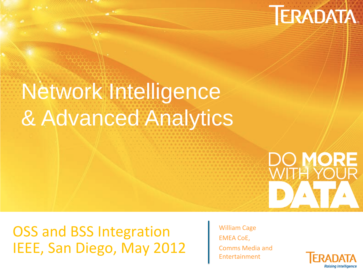# **TERADATA.**

# Network Intelligence & Advanced Analytics

OSS and BSS Integration IEEE, San Diego, May 2012

William Cage EMEA CoE, Comms Media and Entertainment



**DO MORE**<br>WITH YOUR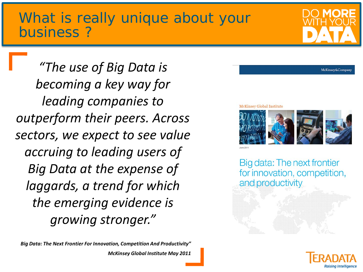#### What is really unique about your business ?

*"The use of Big Data is becoming a key way for leading companies to outperform their peers. Across sectors, we expect to see value accruing to leading users of Big Data at the expense of laggards, a trend for which the emerging evidence is growing stronger."*

*Big Data: The Next Frontier For Innovation, Competition And Productivity" McKinsey Global Institute May 2011*

#### **McKinsey Global Institute**



Big data: The next frontier for innovation, competition, and productivity





McKinsey&Company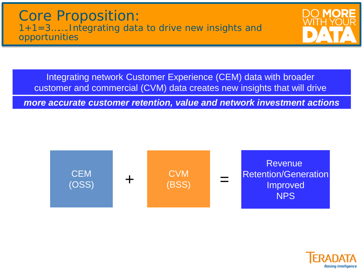

Integrating network Customer Experience (CEM) data with broader customer and commercial (CVM) data creates new insights that will drive

*more accurate customer retention, value and network investment actions*



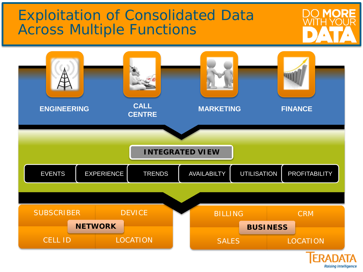## Exploitation of Consolidated Data Across Multiple Functions



**MORF**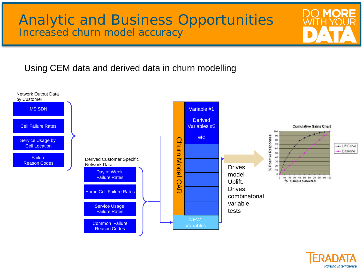#### Analytic and Business Opportunities Increased churn model accuracy

#### Using CEM data and derived data in churn modelling





**MORF**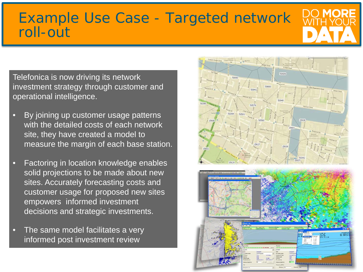#### Example Use Case - Targeted network roll-out

Telefonica is now driving its network investment strategy through customer and operational intelligence.

- By joining up customer usage patterns with the detailed costs of each network site, they have created a model to measure the margin of each base station.
- Factoring in location knowledge enables solid projections to be made about new sites. Accurately forecasting costs and customer usage for proposed new sites empowers informed investment decisions and strategic investments.
- The same model facilitates a very informed post investment review

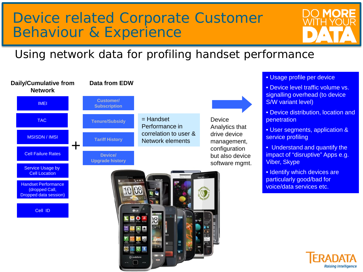### Device related Corporate Customer Behaviour & Experience

#### Using network data for profiling handset performance



- Usage profile per device
- Device level traffic volume vs. signalling overhead (to device S/W variant level)
- Device distribution, location and **penetration**
- User segments, application & service profiling
- Understand and quantify the impact of "disruptive" Apps e.g. Viber, Skype
- Identify which devices are particularly good/bad for voice/data services etc.

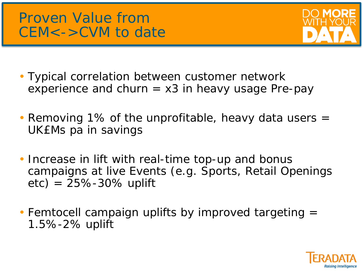### Proven Value from CEM<->CVM to date



- Typical correlation between customer network experience and churn  $= x3$  in heavy usage Pre-pay
- Removing 1% of the unprofitable, heavy data users = UK£Ms pa in savings
- Increase in lift with real-time top-up and bonus campaigns at live Events (e.g. Sports, Retail Openings  $etc) = 25% - 30%$  uplift
- Femtocell campaign uplifts by improved targeting = 1.5%-2% uplift

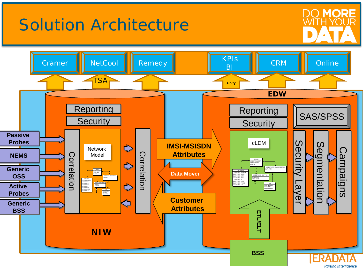